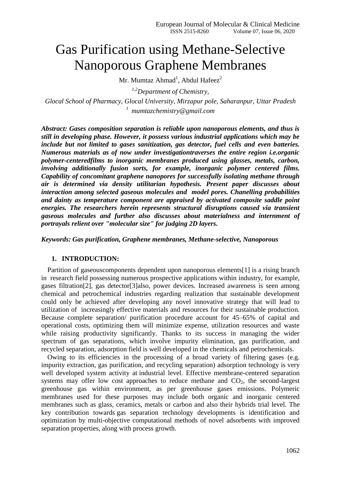# Gas Purification using Methane-Selective Nanoporous Graphene Membranes

Mr. Mumtaz Ahmad<sup>1</sup>, Abdul Hafeez<sup>2</sup>

*1,2Department of Chemistry,*

*Glocal School of Pharmacy, Glocal University, Mirzapur pole, Saharanpur, Uttar Pradesh <sup>1</sup> mumtazchemistry@gmail.com*

*Abstract: Gases composition separation is reliable upon nanoporous elements, and thus is still in developing phase. However, it possess various industrial applications which may be include but not limited to gases sanitization, gas detector, fuel cells and even batteries. Numerous materials as of now under investigationtraverses the entire region i.e.organic polymer-centeredfilms to inorganic membranes produced using glasses, metals, carbon, involving additionally fusion sorts, for example, inorganic polymer centered films. Capability of concomitant graphene nanopores for successfully isolating methane through air is determined via density utilitarian hypothesis. Present paper discusses about interaction among selected gaseous molecules and model pores. Chanelling probabilities and dainty as temperature component are appraised by activated composite saddle point energies. The researchers herein represents structural disruptions caused via transient gaseous molecules and further also discusses about materialness and internment of portrayals relient over "molecular size" for judging 2D layers.*

*Keywords: Gas purification, Graphene membranes, Methane-selective, Nanoporous*

### **1. INTRODUCTION:**

Partition of gaseouscomponents dependent upon nanoporous elements[1] is a rising branch in research field possessing numerous prospective applications within industry, for example, gases filtration[2], gas detector[3]also, power devices. Increased awareness is seen among chemical and petrochemical industries regarding realization that sustainable development could only be achieved after developing any novel innovative strategy that will lead to utilization of increasingly effective materials and resources for their sustainable production. Because complete separation/ purification procedure account for 45–65% of capital and operational costs, optimizing them will minimize expense, utilization resources and waste while raising productivity significantly. Thanks to its success in managing the wider spectrum of gas separations, which involve impurity elimination, gas purification, and recycled separation, adsorption field is well developed in the chemicals and petrochemicals.

Owing to its efficiencies in the processing of a broad variety of filtering gases (e.g. impurity extraction, gas purification, and recycling separation) adsorption technology is very well developed system activity at industrial level. Effective membrane-centered separation systems may offer low cost approaches to reduce methane and  $CO<sub>2</sub>$ , the second-largest greenhouse gas within environment, as per greenhouse gases emissions. Polymeric membranes used for these purposes may include both organic and inorganic centered membranes such as glass, ceramics, metals or carbon and also their hybrids trial level. The key contribution towards gas separation technology developments is identification and optimization by multi-objective computational methods of novel adsorbents with improved separation properties, along with process growth.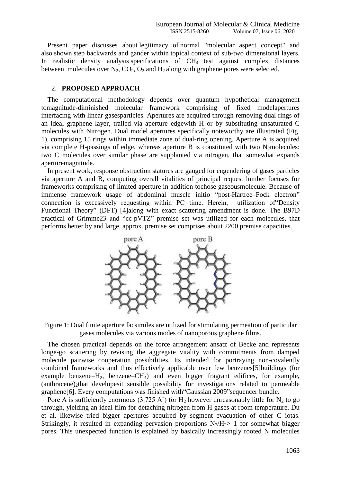Present paper discusses about legitimacy of normal "molecular aspect concept" and also shown step backwards and gander within topical context of sub-two dimensional layers. In realistic density analysis specifications of CH<sub>4</sub> test against complex distances between molecules over  $N_2$ ,  $CO_2$ ,  $O_2$  and  $H_2$  along with graphene pores were selected.

## 2. **PROPOSED APPROACH**

The computational methodology depends over quantum hypothetical management tomagnitude-diminished molecular framework comprising of fixed modelapertures interfacing with linear gasesparticles. Apertures are acquired through removing dual rings of an ideal graphene layer, trailed via aperture edgewith H or by substituting unsaturated C molecules with Nitrogen. Dual model apertures specifically noteworthy are illustrated (Fig. 1), comprising 15 rings within immediate zone of dual-ring opening. Aperture A is acquired via complete H-passings of edge, whereas aperture B is constituted with two  $N_2$ molecules: two C molecules over similar phase are supplanted via nitrogen, that somewhat expands aperturemagnitude.

In present work, response obstruction statures are gauged for engendering of gases particles via aperture A and B, computing overall vitalities of principal request lumber focuses for frameworks comprising of limited aperture in addition tochose gaseousmolecule. Because of immense framework usage of abdominal muscle initio "post-Hartree–Fock electron" connection is excessively requesting within PC time. Herein, utilization of"Density Functional Theory" (DFT) [4]along with exact scattering amendment is done. The B97D practical of Grimme23 and "cc-pVTZ" premise set was utilized for each molecules, that performs better by and large, approx..premise set comprises about 2200 premise capacities.



Figure 1: Dual finite aperture facsimiles are utilized for stimulating permeation of particular gases molecules via various modes of nanoporous graphene films.

The chosen practical depends on the force arrangement ansatz of Becke and represents longe-go scattering by revising the aggregate vitality with commitments from damped molecule pairwise cooperation possibilities. Its intended for portraying non-covalently combined frameworks and thus effectively applicable over few benzenes[5]buildings (for example benzene– $H_2$ , benzene– $CH_4$ ) and even bigger fragrant edifices, for example,  $(anthracene)_2$ that developesit sensible possibility for investigations related to permeable graphene[6]. Every computations was finished with"Gaussian 2009"sequencer bundle.

Pore A is sufficiently enormous (3.725 A<sup>°</sup>) for H<sub>2</sub> however unreasonably little for N<sub>2</sub> to go through, yielding an ideal film for detaching nitrogen from H gases at room temperature. Du et al. likewise tried bigger apertures acquired by segment evacuation of other C iotas. Strikingly, it resulted in expanding pervasion proportions  $N_2/H_2 > 1$  for somewhat bigger pores. This unexpected function is explained by basically increasingly rooted N molecules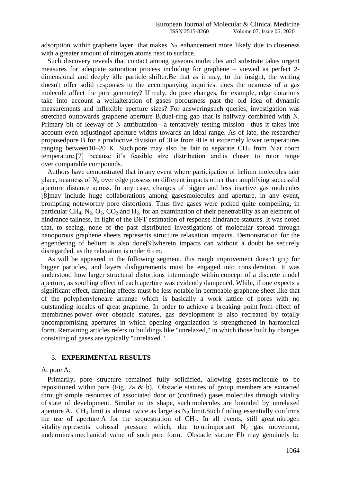adsorption within graphene layer, that makes  $N_2$  enhancement more likely due to closeness with a greater amount of nitrogen atoms next to surface.

Such discovery reveals that contact among gaseous molecules and substrate takes urgent measures for adequate saturation process including for graphene – viewed as perfect 2 dimensional and deeply idle particle shifter.Be that as it may, to the insight, the writing doesn't offer solid responses to the accompanying inquiries: does the nearness of a gas molecule affect the pore geometry? If truly, do pore changes, for example, edge dotations take into account a wellalteration of gases porousness past the old idea of dynamic measurements and inflexible aperture sizes? For answeringsuch queries, investigation was stretched outtowards graphene aperture B,dual-ring gap that is halfway combined with N. Primary bit of leeway of N attributation– a tentatively testing mission –thus it takes into account even adjustingof aperture widths towards an ideal range. As of late, the researcher proposedpore B for a productive division of 3He from 4He at extremely lower temperatures ranging between10–20 K. Such pore may also be fair to separate  $CH_4$  from N at room temperature,[7] because it's feasible size distribution and is closer to rotor range over comparable compounds.

Authors have demonstrated that in any event where participation of helium molecules take place, nearness of  $N_2$  over edge possess no different impacts other than amplifying successful aperture distance across. In any case, changes of bigger and less inactive gas molecules [8]may include huge collaborations among gasesmolecules and aperture, in any event, prompting noteworthy pore distortions. Thus five gases were picked quite compelling, in particular CH<sub>4</sub>, N<sub>2</sub>, O<sub>2</sub>, CO<sub>2</sub> and H<sub>2</sub>, for an examination of their penetrability as an element of hindrance tallness, in light of the DFT estimation of response hindrance statures. It was noted that, to seeing, none of the past distributed investigations of molecular spread through nanoporous graphene sheets represents structure relaxation impacts. Demonstration for the engendering of helium is also done[9]wherein impacts can without a doubt be securely disregarded, as the relaxation is under 6 cm.

As will be appeared in the following segment, this rough improvement doesn't grip for bigger particles, and layers disfigurements must be engaged into consideration. It was understood how larger structural distortions intermingle within concept of a discrete model aperture, as soothing effect of each aperture was evidently dampened. While, if one expects a significant effect, damping effects must be less notable in permeable graphene sheet like that of the polyphenyleneare arrange which is basically a work lattice of pores with no outstanding locales of great graphene. In order to achieve a breaking point from effect of membranes power over obstacle statures, gas development is also recreated by totally uncompromising apertures in which opening organization is strengthened in harmonical form. Remaining articles refers to buildings like "unrelaxed," in which those built by changes consisting of gases are typically "unrelaxed."

#### 3. **EXPERIMENTAL RESULTS**

At pore A:

Primarily, pore structure remained fully solidified, allowing gases molecule to be repositioned within pore (Fig. 2a & b). Obstacle statures of group members are extracted through simple resources of associated door or (confined) gases molecules through vitality of state of development. Similar to its shape, such molecules are bounded by unrelaxed aperture A. CH<sub>4</sub> limit is almost twice as large as  $N_2$  limit. Such finding essentially confirms the use of aperture A for the sequestration of  $CH<sub>4</sub>$ . In all events, still great nitrogen vitality represents colossal pressure which, due to unimportant  $N_2$  gas movement, undermines mechanical value of such pore form. Obstacle stature Eb may genuinely be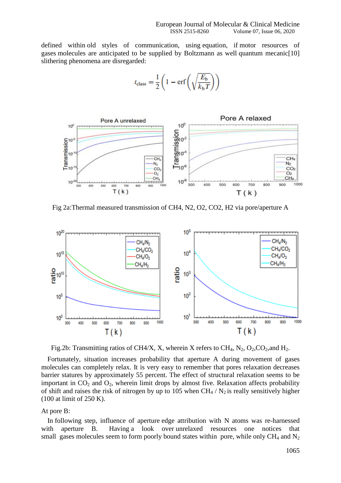defined within old styles of communication, using equation, if motor resources of gases molecules are anticipated to be supplied by Boltzmann as well quantum mecanic[10] slithering phenomena are disregarded:

$$
t_{\text{class}} = \frac{1}{2} \left( 1 - \text{erf}\left(\sqrt{\frac{E_{\text{b}}}{k_{\text{b}}T}}\right) \right)
$$



Fig 2a:Thermal measured transmission of CH4, N2, O2, CO2, H2 via pore/aperture A



Fig.2b: Transmitting ratios of CH4/X, X, wherein X refers to CH<sub>4</sub>, N<sub>2</sub>, O<sub>2</sub>, CO<sub>2</sub>, and H<sub>2</sub>.

Fortunately, situation increases probability that aperture A during movement of gases molecules can completely relax. It is very easy to remember that pores relaxation decreases barrier statures by approximately 55 percent. The effect of structural relaxation seems to be important in  $CO<sub>2</sub>$  and  $O<sub>2</sub>$ , wherein limit drops by almost five. Relaxation affects probability of shift and raises the risk of nitrogen by up to 105 when  $CH_4 / N_2$  is really sensitively higher (100 at limit of 250 K).

At pore B:

In following step, influence of aperture edge attribution with N atoms was re-harnessed with aperture B. Having a look over unrelaxed resources one notices that small gases molecules seem to form poorly bound states within pore, while only  $CH_4$  and  $N_2$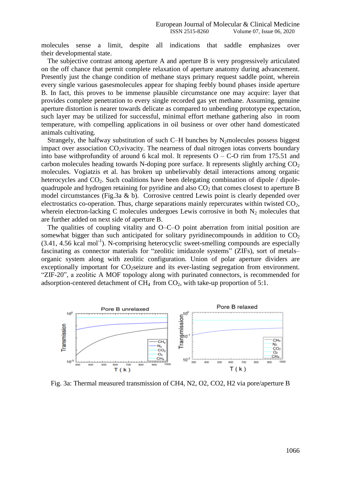molecules sense a limit, despite all indications that saddle emphasizes over their developmental state.

The subjective contrast among aperture A and aperture B is very progressively articulated on the off chance that permit complete relaxation of aperture anatomy during advancement. Presently just the change condition of methane stays primary request saddle point, wherein every single various gasesmolecules appear for shaping feebly bound phases inside aperture B. In fact, this proves to be immense plausible circumstance one may acquire: layer that provides complete penetration to every single recorded gas yet methane. Assuming, genuine aperture distortion is nearer towards delicate as compared to unbending prototype expectation, such layer may be utilized for successful, minimal effort methane gathering also in room temperature, with compelling applications in oil business or over other hand domesticated animals cultivating.

Strangely, the halfway substitution of such C–H bunches by  $N_2$  molecules possess biggest impact over association  $CO_2$  vivacity. The nearness of dual nitrogen iotas converts boundary into base withprofundity of around 6 kcal mol. It represents  $O - C$ -O rim from 175.51 and carbon molecules heading towards N-doping pore surface. It represents slightly arching CO<sub>2</sub> molecules. Vogiatzis et al. has broken up unbelievably detail interactions among organic heterocycles and  $CO<sub>2</sub>$ . Such coalitions have been delegating combination of dipole / dipolequadrupole and hydrogen retaining for pyridine and also  $CO<sub>2</sub>$  that comes closest to aperture B model circumstances (Fig.3a & b). Corrosive centred Lewis point is clearly depended over electrostatics co-operation. Thus, charge separations mainly repercurates within twisted  $CO<sub>2</sub>$ , wherein electron-lacking C molecules undergoes Lewis corrosive in both  $N_2$  molecules that are further added on next side of aperture B.

The qualities of coupling vitality and O–C–O point aberration from initial position are somewhat bigger than such anticipated for solitary pyridine compounds in addition to  $CO<sub>2</sub>$ (3.41, 4.56 kcal mol<sup>-1</sup>). N-comprising heterocyclic sweet-smelling compounds are especially fascinating as connector materials for "zeolitic imidazole systems" (ZIFs), sort of metals– organic system along with zeolitic configuration. Union of polar aperture dividers are exceptionally important for  $CO<sub>2</sub>$  seizure and its ever-lasting segregation from environment. "ZIF-20", a zeolitic A MOF topology along with purinated connectors, is recommended for adsorption-centered detachment of  $CH_4$  from  $CO_2$ , with take-up proportion of 5:1.



Fig. 3a: Thermal measured transmission of CH4, N2, O2, CO2, H2 via pore/aperture B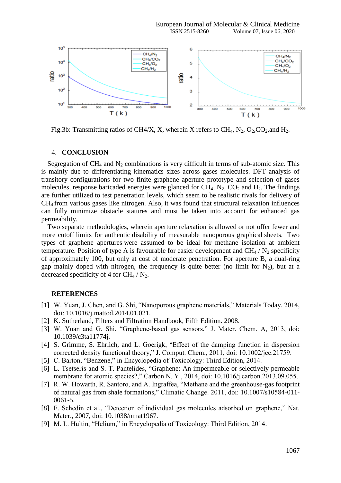

Fig.3b: Transmitting ratios of CH4/X, X, wherein X refers to CH<sub>4</sub>, N<sub>2</sub>, O<sub>2</sub>, CO<sub>2</sub>, and H<sub>2</sub>.

#### 4. **CONCLUSION**

Segregation of  $CH_4$  and  $N_2$  combinations is very difficult in terms of sub-atomic size. This is mainly due to differentiating kinematics sizes across gases molecules. DFT analysis of transitory configurations for two finite graphene aperture prototype and selection of gases molecules, response baricaded energies were glanced for  $CH_4$ ,  $N_2$ ,  $CO_2$  and  $H_2$ . The findings are further utilized to test penetration levels, which seem to be realistic rivals for delivery of CH<sup>4</sup> from various gases like nitrogen. Also, it was found that structural relaxation influences can fully minimize obstacle statures and must be taken into account for enhanced gas permeability.

Two separate methodologies, wherein aperture relaxation is allowed or not offer fewer and more cutoff limits for authentic disability of measurable nanoporous graphical sheets. Two types of graphene apertures were assumed to be ideal for methane isolation at ambient temperature. Position of type A is favourable for easier development and  $CH_4 / N_2$  specificity of approximately 100, but only at cost of moderate penetration. For aperture B, a dual-ring gap mainly doped with nitrogen, the frequency is quite better (no limit for  $N_2$ ), but at a decreased specificity of 4 for  $CH_4 / N_2$ .

# **REFERENCES**

- [1] W. Yuan, J. Chen, and G. Shi, "Nanoporous graphene materials," Materials Today. 2014, doi: 10.1016/j.mattod.2014.01.021.
- [2] K. Sutherland, Filters and Filtration Handbook, Fifth Edition. 2008.
- [3] W. Yuan and G. Shi, "Graphene-based gas sensors," J. Mater. Chem. A, 2013, doi: 10.1039/c3ta11774j.
- [4] S. Grimme, S. Ehrlich, and L. Goerigk, "Effect of the damping function in dispersion corrected density functional theory," J. Comput. Chem., 2011, doi: 10.1002/jcc.21759.
- [5] C. Barton, "Benzene," in Encyclopedia of Toxicology: Third Edition, 2014.
- [6] L. Tsetseris and S. T. Pantelides, "Graphene: An impermeable or selectively permeable membrane for atomic species?," Carbon N. Y., 2014, doi: 10.1016/j.carbon.2013.09.055.
- [7] R. W. Howarth, R. Santoro, and A. Ingraffea, "Methane and the greenhouse-gas footprint of natural gas from shale formations," Climatic Change. 2011, doi: 10.1007/s10584-011- 0061-5.
- [8] F. Schedin et al., "Detection of individual gas molecules adsorbed on graphene," Nat. Mater., 2007, doi: 10.1038/nmat1967.
- [9] M. L. Hultin, "Helium," in Encyclopedia of Toxicology: Third Edition, 2014.